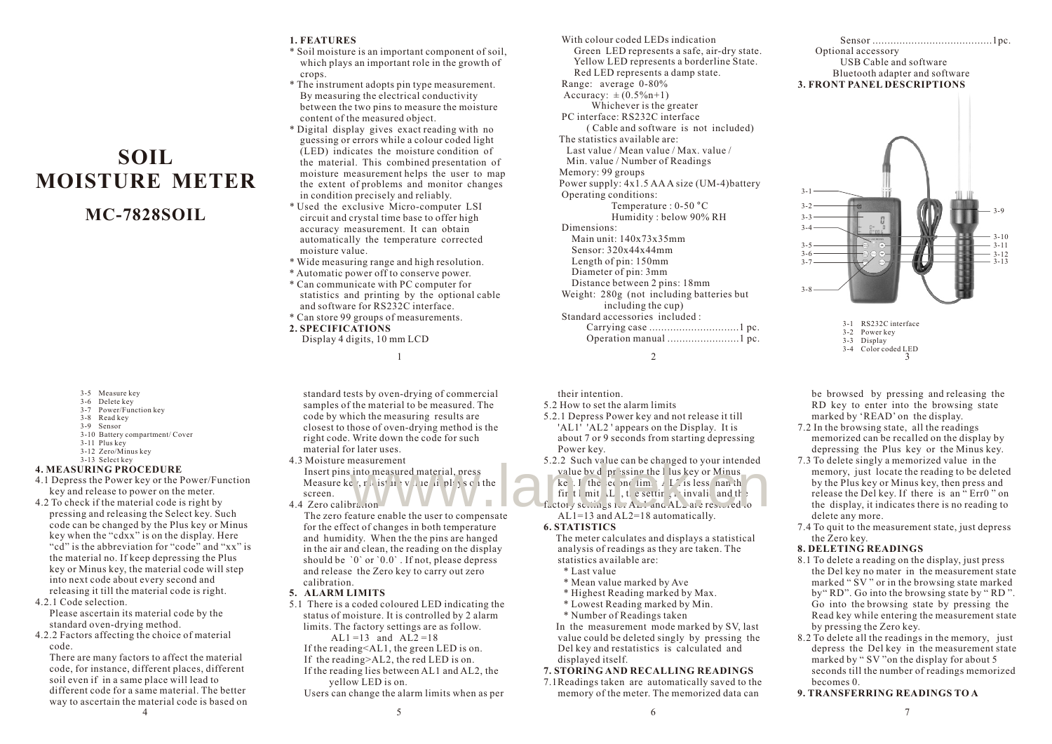#### **1. FEATURES**

- \* Soil moisture is an important component of soil, which plays an important role in the growth of crops.
- \* The instrument adopts pin type measurement. By measuring the electrical conductivity between the two pins to measure the moisture content of the measured object.
- \* Digital display gives exact reading with no guessing or errors while a colour coded light (LED) indicates the moisture condition of the material. This combined presentation of moisture measurement helps the user to map the extent of problems and monitor changes in condition precisely and reliably.
- \* Used the exclusive Micro-computer LSI circuit and crystal time base to offer high accuracy measurement. It can obtain automatically the temperature corrected moisture value.
- \* Wide measuring range and high resolution.
- \* Automatic power off to conserve power.
- \* Can communicate with PC computer for statistics and printing by the optional cable and software for RS232C interface.
- \* Can store 99 groups of measurements. **2. SPECIFICATIONS**

Display 4 digits, 10 mm LCD

3-5 Measure key

 3-6 Delete key 3-7 Power/Function key

**SOIL MOISTURE METER**

**MC-7828SOIL**

- 3-8 Read key
- 3-9 Sensor
- 3-10 Battery compartment/ Cover
- 3-11 Plus key
- 3-12 Zero/Minus key
- 3-13 Select key

# **4. MEASURING PROCEDURE**

- 4.1 Depress the Power key or the Power/Function key and release to power on the meter.
- 4.2 To check if the material code is right by pressing and releasing the Select key. Such code can be changed by the Plus key or Minus key when the "cdxx" is on the display. Here "cd" is the abbreviation for "code" and "xx" is the material no. If keep depressing the Plus key or Minus key, the material code will step into next code about every second and releasing it till the material code is right.
- 4.2.1 Code selection.
- Please ascertain its material code by the standard oven-drying method.
- 4.2.2 Factors affecting the choice of material code.

There are many factors to affect the material code, for instance, different places, different soil even if in a same place will lead to different code for a same material. The better way to ascertain the material code is based on 4 and  $\frac{5}{5}$  6 and  $\frac{7}{5}$  6 and  $\frac{7}{5}$  6 and  $\frac{7}{5}$  7

standard tests by oven-drying of commercial samples of the material to be measured. The code by which the measuring results are closest to those of oven-drying method is the right code. Write down the code for such material for later uses.

1 2

their intention. 5.2 How to set the alarm limits

Power key.

**6. STATISTICS**

statistics available are: \* Last value

displayed itself.

 \* Mean value marked by Ave \* Highest Reading marked by Max. \* Lowest Reading marked by Min. \* Number of Readings taken

5.2.1 Depress Power key and not release it till 'AL1' 'AL2 ' appears on the Display. It is about 7 or 9 seconds from starting depressing

5.2.2 Such value can be changed to your intended value by depressing the I lus key or Minus ke  $\overrightarrow{I}$  the econd limit AL2 is less han the fir the mit.  $L$ , the setting is invalid and the interval  $f_{\text{uctot}}$   $\sqrt{s}$  settings  $f_{\text{v1}}$   $A_{\text{u2}}$  and  $A_{\text{u2}}$  are restricted to  $AL1=13$  and  $AL2=18$  automatically.

 The meter calculates and displays a statistical analysis of readings as they are taken. The

 In the measurement mode marked by SV, last value could be deleted singly by pressing the Del key and restatistics is calculated and

4.3 Moisture measurement Insert pins into measured material, press Measure key, moisture value displays chathe screen. measurement<br>
into measured material, press<br>
e. n (is the video scale of the second intended<br>
e. n (is the video scale of the second intended<br>
fir t i mit L, t e setting a invaliand the<br>
factory second scale of the second

4.4 Zero calibration

- The zero feature enable the user to compensate for the effect of changes in both temperature and humidity. When the the pins are hanged in the air and clean, the reading on the display should be  $\degree$ 0 $\degree$  or  $\degree$ 0.0 $\degree$ . If not, please depress and release the Zero key to carry out zero calibration.
- **5. ALARM LIMITS**
- 5.1 There is a coded coloured LED indicating the status of moisture. It is controlled by 2 alarm limits. The factory settings are as follow.
	- AL1 =13 and AL2 =18 If the reading<AL1, the green LED is on.
	- If the reading>AL2, the red LED is on.
	- If the reading lies between AL1 and AL2, the yellow LED is on.
	- Users can change the alarm limits when as per

 With colour coded LEDs indication Green LED represents a safe, air-dry state. Yellow LED represents a borderline State. Red LED represents a damp state. Range: average 0-80% Accuracy:  $\pm (0.5\% \text{ n}+1)$  Whichever is the greater PC interface: RS232C interface ( Cable and software is not included) The statistics available are: Last value / Mean value / Max. value / Min. value / Number of Readings Memory: 99 groups Power supply: 4x1.5 AAA size (UM-4)battery Operating conditions: Temperature : 0-50 °C Humidity : below 90% RH Dimensions: Main unit: 140x73x35mm Sensor: 320x44x44mm Length of pin: 150mm Diameter of pin: 3mm Distance between 2 pins: 18mm Weight: 280g (not including batteries but including the cup) Standard accessories included : Carrying case ..............................1 pc. Operation manual ........................1 pc.

## Sensor ........................................1pc. Optional accessory USB Cable and software Bluetooth adapter and software **3. FRONT PANEL DESCRIPTIONS**



 <sup>3-1</sup> RS232C interface 3-2 Power key 3-3 Display

- 3-4 Color coded LED
- 3
- be browsed by pressing and releasing the RD key to enter into the browsing state marked by 'READ' on the display.
- 7.2 In the browsing state, all the readings memorized can be recalled on the display by depressing the Plus key or the Minus key.
- 7.3 To delete singly a memorized value in the memory, just locate the reading to be deleted by the Plus key or Minus key, then press and release the Del key. If there is an " Err0 " on the display, it indicates there is no reading to delete any more.
- 7.4 To quit to the measurement state, just depress the Zero key.

#### **8. DELETING READINGS**

- 8.1 To delete a reading on the display, just press the Del key no mater in the measurement state marked " SV " or in the browsing state marked by" RD". Go into the browsing state by " RD ". Go into the browsing state by pressing the Read key while entering the measurement state by pressing the Zero key.
- 8.2 To delete all the readings in the memory, just depress the Del key in the measurement state marked by " SV "on the display for about 5 seconds till the number of readings memorized becomes 0.

**9. TRANSFERRING READINGS TO A**

**7. STORING AND RECALLING READINGS** 7.1Readings taken are automatically saved to the memory of the meter. The memorized data can